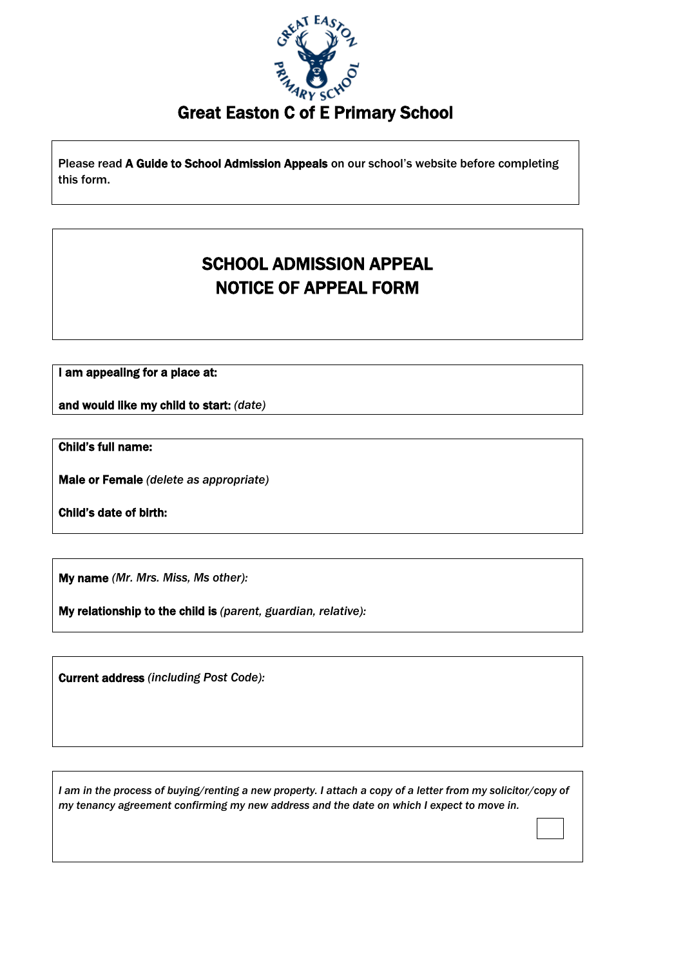

Great Easton C of E Primary School

Please read A Guide to School Admission Appeals on our school's website before completing this form.

## SCHOOL ADMISSION APPEAL NOTICE OF APPEAL FORM

I am appealing for a place at:

and would like my child to start: *(date)*

Child's full name:

Male or Female *(delete as appropriate)*

Child's date of birth:

My name *(Mr. Mrs. Miss, Ms other):*

My relationship to the child is *(parent, guardian, relative):*

Current address *(including Post Code):*

*I am in the process of buying/renting a new property. I attach a copy of a letter from my solicitor/copy of my tenancy agreement confirming my new address and the date on which I expect to move in.*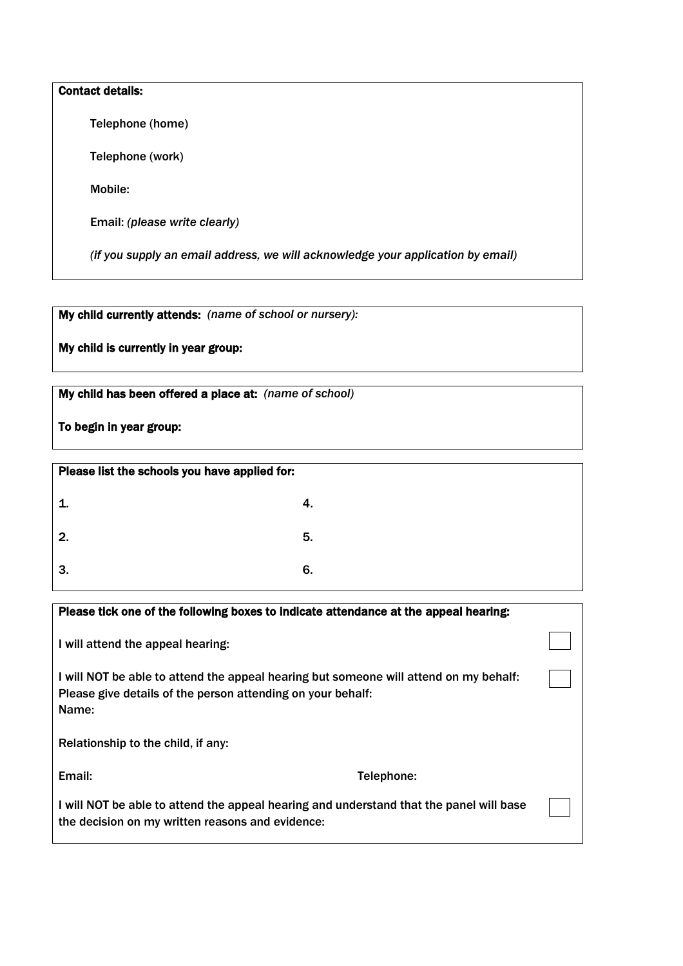## Contact details:

Telephone (home)

Telephone (work)

Mobile:

Email: *(please write clearly)*

 *(if you supply an email address, we will acknowledge your application by email)*

My child currently attends: *(name of school or nursery):*

My child is currently in year group:

My child has been offered a place at: *(name of school)*

To begin in year group:

| Please list the schools you have applied for: |    |
|-----------------------------------------------|----|
|                                               | 4. |
| 2.                                            | 5. |
| 3.                                            | 6. |

| Please tick one of the following boxes to indicate attendance at the appeal hearing:                                                                          |            |  |
|---------------------------------------------------------------------------------------------------------------------------------------------------------------|------------|--|
| I will attend the appeal hearing:                                                                                                                             |            |  |
| I will NOT be able to attend the appeal hearing but someone will attend on my behalf:<br>Please give details of the person attending on your behalf:<br>Name: |            |  |
| Relationship to the child, if any:                                                                                                                            |            |  |
| Email:                                                                                                                                                        | Telephone: |  |
| I will NOT be able to attend the appeal hearing and understand that the panel will base<br>the decision on my written reasons and evidence:                   |            |  |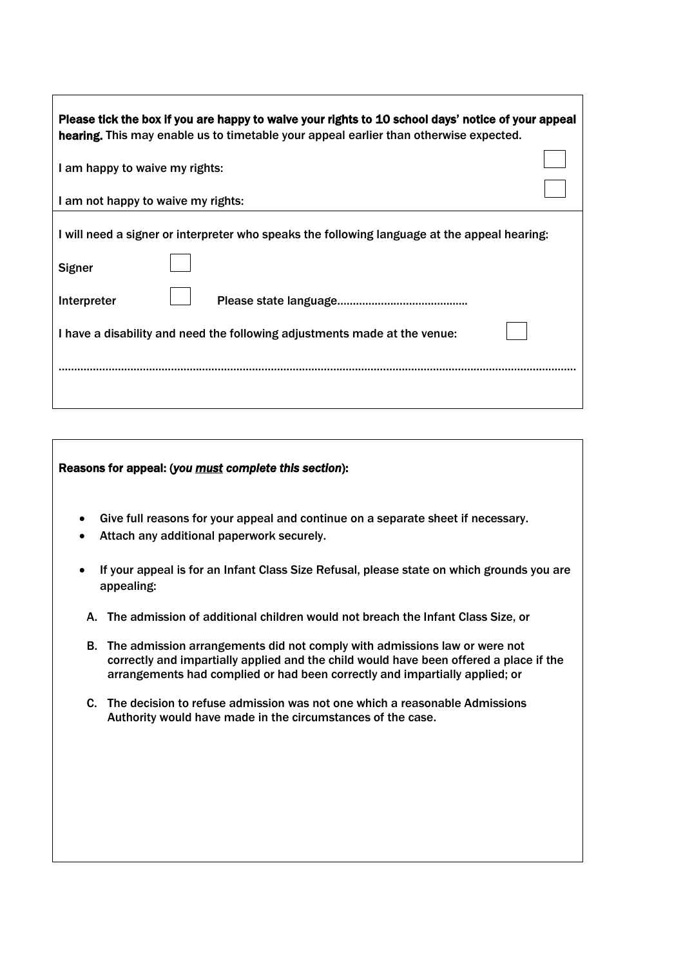| Please tick the box if you are happy to waive your rights to 10 school days' notice of your appeal<br>hearing. This may enable us to timetable your appeal earlier than otherwise expected. |  |  |  |
|---------------------------------------------------------------------------------------------------------------------------------------------------------------------------------------------|--|--|--|
| I am happy to waive my rights:                                                                                                                                                              |  |  |  |
| I am not happy to waive my rights:                                                                                                                                                          |  |  |  |
| I will need a signer or interpreter who speaks the following language at the appeal hearing:                                                                                                |  |  |  |
| <b>Signer</b>                                                                                                                                                                               |  |  |  |
| Interpreter                                                                                                                                                                                 |  |  |  |
| I have a disability and need the following adjustments made at the venue:                                                                                                                   |  |  |  |
|                                                                                                                                                                                             |  |  |  |

## Reasons for appeal: (*you must complete this section*):

- Give full reasons for your appeal and continue on a separate sheet if necessary.
- Attach any additional paperwork securely.
- If your appeal is for an Infant Class Size Refusal, please state on which grounds you are appealing:
	- A. The admission of additional children would not breach the Infant Class Size, or
	- B. The admission arrangements did not comply with admissions law or were not correctly and impartially applied and the child would have been offered a place if the arrangements had complied or had been correctly and impartially applied; or
	- C. The decision to refuse admission was not one which a reasonable Admissions Authority would have made in the circumstances of the case.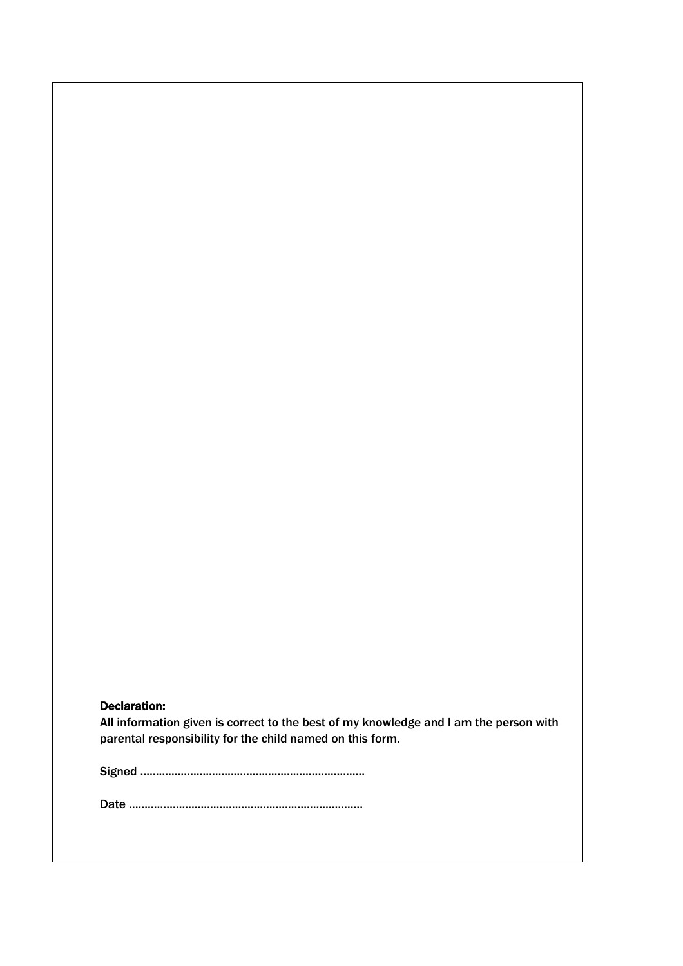## Declaration:

All information given is correct to the best of my knowledge and I am the person with parental responsibility for the child named on this form.

Signed ………………………………………………………………

Date …………………………………………………………………